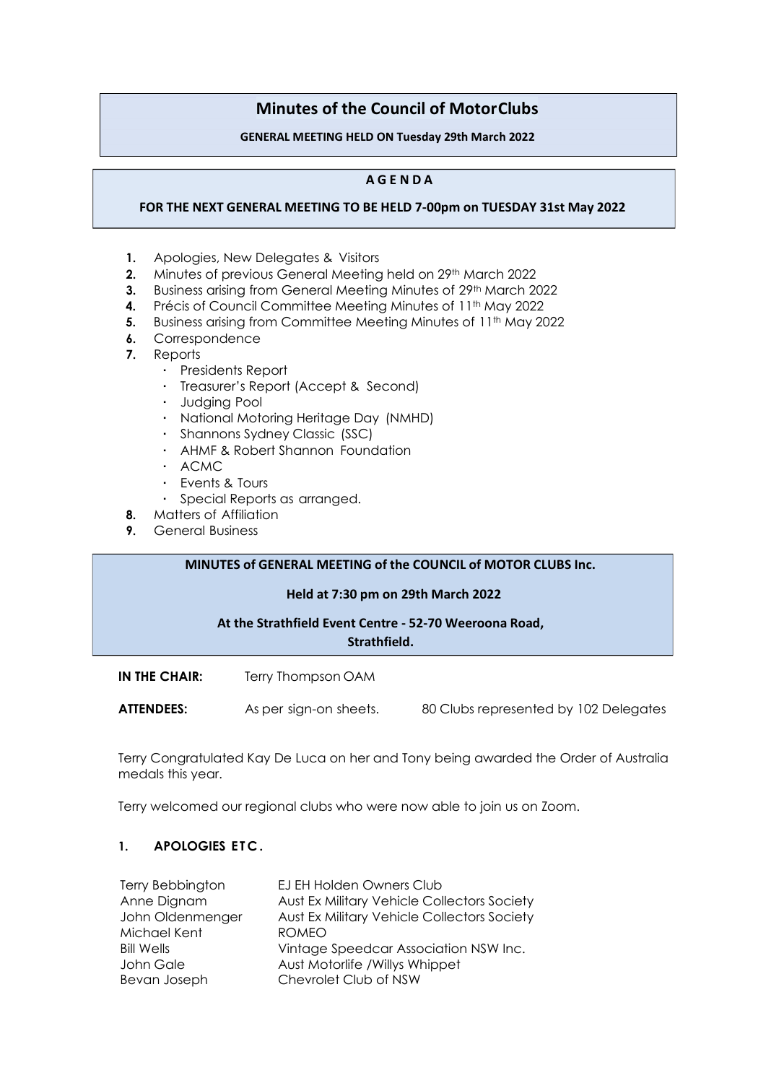# **Minutes of the Council of MotorClubs**

**GENERAL MEETING HELD ON Tuesday 29th March 2022**

#### **A G E N D A**

### **FOR THE NEXT GENERAL MEETING TO BE HELD 7-00pm on TUESDAY 31st May 2022**

- **1.** Apologies, New Delegates & Visitors
- **2.** Minutes of previous General Meeting held on 29<sup>th</sup> March 2022
- **3.** Business arising from General Meeting Minutes of 29<sup>th</sup> March 2022
- **4.** Précis of Council Committee Meeting Minutes of 11<sup>th</sup> May 2022
- **5.** Business arising from Committee Meeting Minutes of 11<sup>th</sup> May 2022
- **6.** Correspondence
- **7.** Reports
	- Presidents Report
	- · Treasurer's Report (Accept & Second)
	- Judging Pool
	- . National Motoring Heritage Day (NMHD)
	- · Shannons Sydney Classic (SSC)
	- AHMF & Robert Shannon Foundation
	- $\cdot$  ACMC.
	- Events & Tours
	- Special Reports as arranged.
- **8.** Matters of Affiliation
- **9.** General Business

#### **MINUTES of GENERAL MEETING of the COUNCIL of MOTOR CLUBS Inc.**

#### **Held at 7:30 pm on 29th March 2022**

#### **At the Strathfield Event Centre - 52-70 Weeroona Road,**

**Strathfield.**

**IN THE CHAIR:** Terry Thompson OAM

**ATTENDEES:** As per sign-on sheets. 80 Clubs represented by 102 Delegates

Terry Congratulated Kay De Luca on her and Tony being awarded the Order of Australia medals this year.

Terry welcomed our regional clubs who were now able to join us on Zoom.

#### **1. APOLOGIES ET C .**

| <b>Terry Bebbington</b> | EJ EH Holden Owners Club                           |
|-------------------------|----------------------------------------------------|
| Anne Dignam             | <b>Aust Ex Military Vehicle Collectors Society</b> |
| John Oldenmenger        | Aust Ex Military Vehicle Collectors Society        |
| Michael Kent            | <b>ROMEO</b>                                       |
| <b>Bill Wells</b>       | Vintage Speedcar Association NSW Inc.              |
| John Gale               | Aust Motorlife / Willys Whippet                    |
| Bevan Joseph            | Chevrolet Club of NSW                              |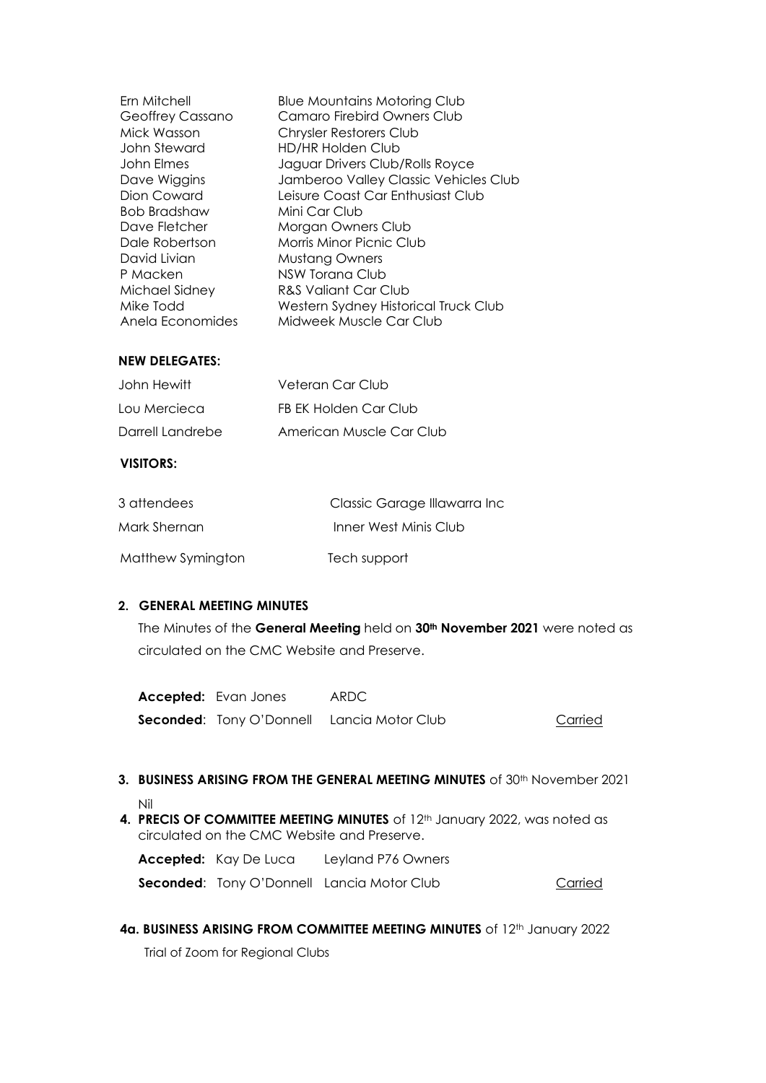| Ern Mitchell     | <b>Blue Mountains Motoring Club</b>   |
|------------------|---------------------------------------|
| Geoffrey Cassano | Camaro Firebird Owners Club           |
|                  |                                       |
| Mick Wasson      | Chrysler Restorers Club               |
| John Steward     | HD/HR Holden Club                     |
| John Elmes       | Jaguar Drivers Club/Rolls Royce       |
| Dave Wiggins     | Jamberoo Valley Classic Vehicles Club |
| Dion Coward      | Leisure Coast Car Enthusiast Club     |
| Bob Bradshaw     | Mini Car Club                         |
| Dave Fletcher    | Morgan Owners Club                    |
| Dale Robertson   | Morris Minor Picnic Club              |
| David Livian     | <b>Mustang Owners</b>                 |
| P Macken         | NSW Torana Club                       |
| Michael Sidney   | R&S Valiant Car Club                  |
| Mike Todd        | Western Sydney Historical Truck Club  |
| Anela Economides | Midweek Muscle Car Club               |
|                  |                                       |
| NEW BELEA ATEC.  |                                       |

#### **NEW DELEGATES:**

| John Hewitt      | Veteran Car Club         |
|------------------|--------------------------|
| Lou Mercieca     | FB EK Holden Car Club    |
| Darrell Landrebe | American Muscle Car Club |

## **VISITORS:**

| 3 attendees       | Classic Garage Illawarra Inc |
|-------------------|------------------------------|
| Mark Shernan      | Inner West Minis Club        |
| Matthew Symington | Tech support                 |

#### **2. GENERAL MEETING MINUTES**

The Minutes of the **General Meeting** held on **30th November 2021** were noted as circulated on the CMC Website and Preserve.

| <b>Accepted:</b> Evan Jones | ARDC                                              |         |
|-----------------------------|---------------------------------------------------|---------|
|                             | <b>Seconded:</b> Tony O'Donnell Lancia Motor Club | Carried |

- **3. BUSINESS ARISING FROM THE GENERAL MEETING MINUTES** of 30<sup>th</sup> November 2021
	- Nil
- **4. PRECIS OF COMMITTEE MEETING MINUTES** of 12<sup>th</sup> January 2022, was noted as circulated on the CMC Website and Preserve.

| <b>Accepted:</b> Kay De Luca | Leyland P76 Owners                                |         |
|------------------------------|---------------------------------------------------|---------|
|                              | <b>Seconded:</b> Tony O'Donnell Lancia Motor Club | Carried |

**4a. BUSINESS ARISING FROM COMMITTEE MEETING MINUTES** of 12th January 2022

Trial of Zoom for Regional Clubs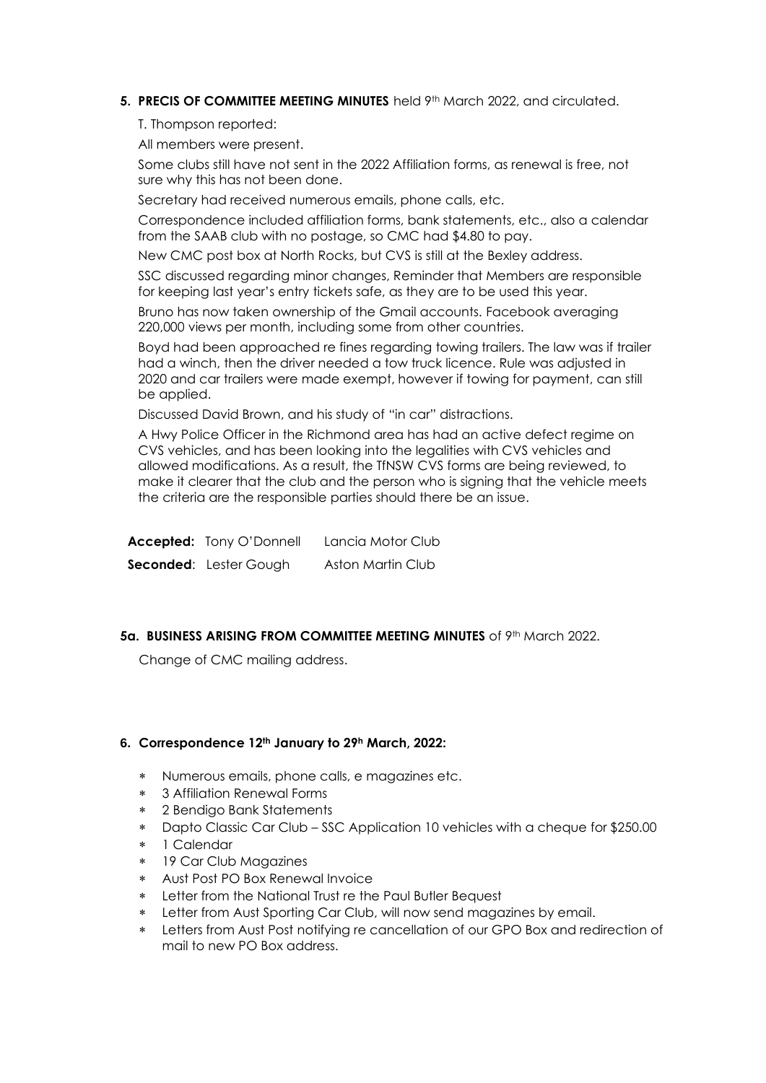#### **5. PRECIS OF COMMITTEE MEETING MINUTES** held 9th March 2022, and circulated.

T. Thompson reported:

All members were present.

Some clubs still have not sent in the 2022 Affiliation forms, as renewal is free, not sure why this has not been done.

Secretary had received numerous emails, phone calls, etc.

Correspondence included affiliation forms, bank statements, etc., also a calendar from the SAAB club with no postage, so CMC had \$4.80 to pay.

New CMC post box at North Rocks, but CVS is still at the Bexley address.

SSC discussed regarding minor changes, Reminder that Members are responsible for keeping last year's entry tickets safe, as they are to be used this year.

Bruno has now taken ownership of the Gmail accounts. Facebook averaging 220,000 views per month, including some from other countries.

Boyd had been approached re fines regarding towing trailers. The law was if trailer had a winch, then the driver needed a tow truck licence. Rule was adjusted in 2020 and car trailers were made exempt, however if towing for payment, can still be applied.

Discussed David Brown, and his study of "in car" distractions.

A Hwy Police Officer in the Richmond area has had an active defect regime on CVS vehicles, and has been looking into the legalities with CVS vehicles and allowed modifications. As a result, the TfNSW CVS forms are being reviewed, to make it clearer that the club and the person who is signing that the vehicle meets the criteria are the responsible parties should there be an issue.

| <b>Accepted:</b> Tony O'Donnell | Lancia Motor Club |
|---------------------------------|-------------------|
| <b>Seconded:</b> Lester Gough   | Aston Martin Club |

#### **5g. BUSINESS ARISING FROM COMMITTEE MEETING MINUTES** of 9<sup>th</sup> March 2022.

Change of CMC mailing address.

#### **6. Correspondence 12th January to 29<sup>h</sup> March, 2022:**

- Numerous emails, phone calls, e magazines etc.
- 3 Affiliation Renewal Forms
- 2 Bendigo Bank Statements
- Dapto Classic Car Club SSC Application 10 vehicles with a cheque for \$250.00
- 1 Calendar
- 19 Car Club Magazines
- Aust Post PO Box Renewal Invoice
- Letter from the National Trust re the Paul Butler Bequest
- Letter from Aust Sporting Car Club, will now send magazines by email.
- Letters from Aust Post notifying re cancellation of our GPO Box and redirection of mail to new PO Box address.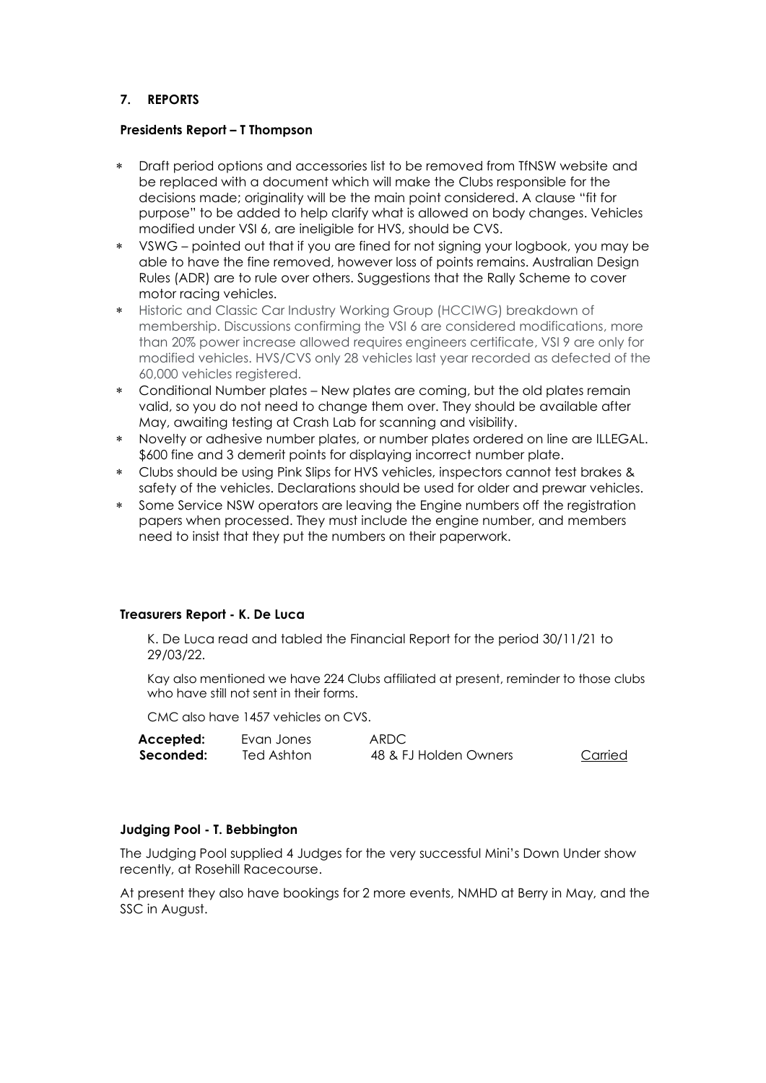### **7. REPORTS**

#### **Presidents Report – T Thompson**

- Draft period options and accessories list to be removed from TfNSW website and be replaced with a document which will make the Clubs responsible for the decisions made; originality will be the main point considered. A clause "fit for purpose" to be added to help clarify what is allowed on body changes. Vehicles modified under VSI 6, are ineligible for HVS, should be CVS.
- VSWG pointed out that if you are fined for not signing your logbook, you may be able to have the fine removed, however loss of points remains. Australian Design Rules (ADR) are to rule over others. Suggestions that the Rally Scheme to cover motor racing vehicles.
- Historic and Classic Car Industry Working Group (HCCIWG) breakdown of membership. Discussions confirming the VSI 6 are considered modifications, more than 20% power increase allowed requires engineers certificate, VSI 9 are only for modified vehicles. HVS/CVS only 28 vehicles last year recorded as defected of the 60,000 vehicles registered.
- Conditional Number plates New plates are coming, but the old plates remain valid, so you do not need to change them over. They should be available after May, awaiting testing at Crash Lab for scanning and visibility.
- Novelty or adhesive number plates, or number plates ordered on line are ILLEGAL. \$600 fine and 3 demerit points for displaying incorrect number plate.
- Clubs should be using Pink Slips for HVS vehicles, inspectors cannot test brakes & safety of the vehicles. Declarations should be used for older and prewar vehicles.
- Some Service NSW operators are leaving the Engine numbers off the registration papers when processed. They must include the engine number, and members need to insist that they put the numbers on their paperwork.

#### **Treasurers Report - K. De Luca**

K. De Luca read and tabled the Financial Report for the period 30/11/21 to 29/03/22.

Kay also mentioned we have 224 Clubs affiliated at present, reminder to those clubs who have still not sent in their forms.

CMC also have 1457 vehicles on CVS.

| Accepted: | Evan Jones | ARDC                  |         |
|-----------|------------|-----------------------|---------|
| Seconded: | Ted Ashton | 48 & FJ Holden Owners | Carried |

#### **Judging Pool - T. Bebbington**

The Judging Pool supplied 4 Judges for the very successful Mini's Down Under show recently, at Rosehill Racecourse.

At present they also have bookings for 2 more events, NMHD at Berry in May, and the SSC in August.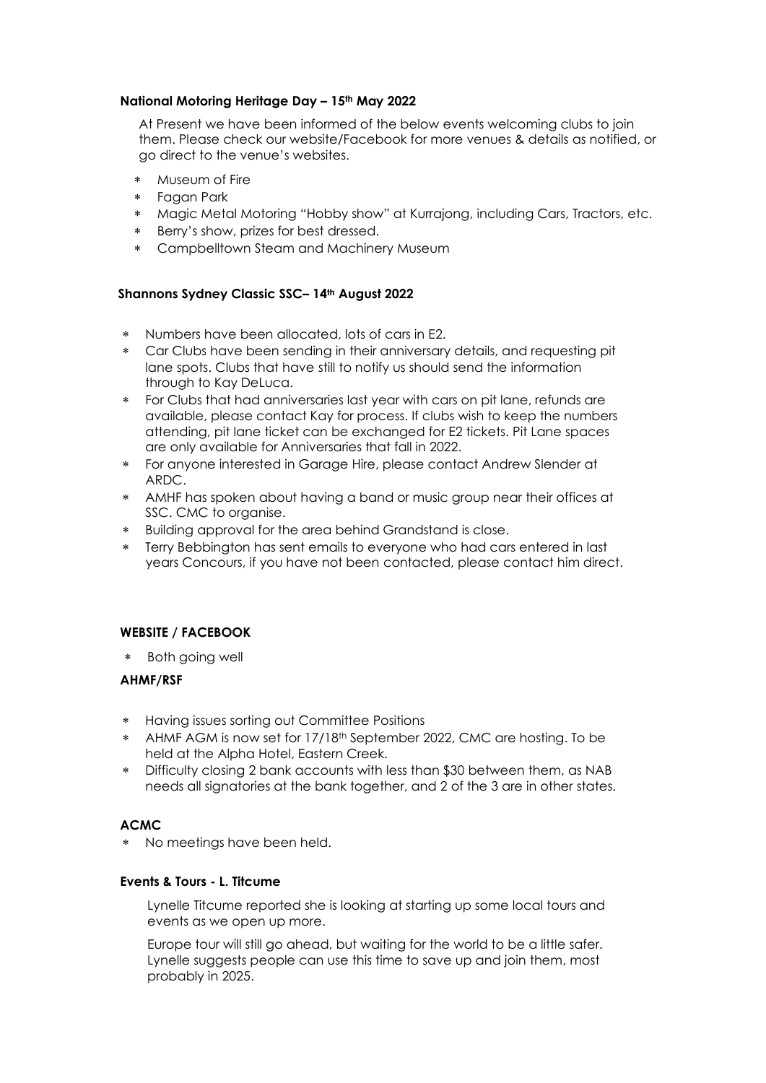#### **National Motoring Heritage Day – 15th May 2022**

At Present we have been informed of the below events welcoming clubs to join them. Please check our website/Facebook for more venues & details as notified, or go direct to the venue's websites.

- Museum of Fire
- Fagan Park
- Magic Metal Motoring "Hobby show" at Kurrajong, including Cars, Tractors, etc.
- Berry's show, prizes for best dressed.
- Campbelltown Steam and Machinery Museum

#### **Shannons Sydney Classic SSC– 14th August 2022**

- Numbers have been allocated, lots of cars in E2.
- Car Clubs have been sending in their anniversary details, and requesting pit lane spots. Clubs that have still to notify us should send the information through to Kay DeLuca.
- For Clubs that had anniversaries last year with cars on pit lane, refunds are available, please contact Kay for process. If clubs wish to keep the numbers attending, pit lane ticket can be exchanged for E2 tickets. Pit Lane spaces are only available for Anniversaries that fall in 2022.
- For anyone interested in Garage Hire, please contact Andrew Slender at ARDC.
- AMHF has spoken about having a band or music group near their offices at SSC. CMC to organise.
- Building approval for the area behind Grandstand is close.
- Terry Bebbington has sent emails to everyone who had cars entered in last years Concours, if you have not been contacted, please contact him direct.

### **WEBSITE / FACEBOOK**

\* Both going well

#### **AHMF/RSF**

- Having issues sorting out Committee Positions
- \* AHMF AGM is now set for 17/18<sup>th</sup> September 2022, CMC are hosting. To be held at the Alpha Hotel, Eastern Creek.
- Difficulty closing 2 bank accounts with less than \$30 between them, as NAB needs all signatories at the bank together, and 2 of the 3 are in other states.

#### **ACMC**

No meetings have been held.

#### **Events & Tours - L. Titcume**

Lynelle Titcume reported she is looking at starting up some local tours and events as we open up more.

Europe tour will still go ahead, but waiting for the world to be a little safer. Lynelle suggests people can use this time to save up and join them, most probably in 2025.